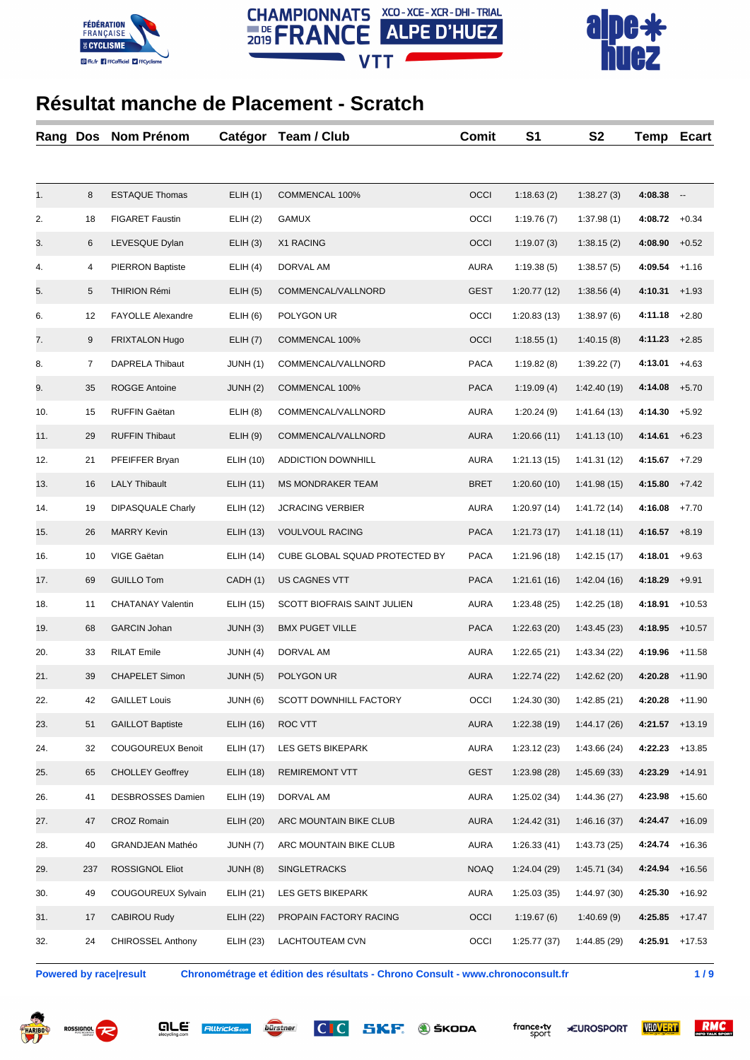





| Rang | <b>Dos</b> | Nom Prénom               | Catégor          | Team / Club                    | <b>Comit</b> | S <sub>1</sub> | S <sub>2</sub> | Temp    | <b>Ecart</b>             |
|------|------------|--------------------------|------------------|--------------------------------|--------------|----------------|----------------|---------|--------------------------|
|      |            |                          |                  |                                |              |                |                |         |                          |
| 1.   | 8          | <b>ESTAQUE Thomas</b>    | ELIH(1)          | COMMENCAL 100%                 | OCCI         | 1:18.63(2)     | 1:38.27(3)     | 4:08.38 | $\overline{\phantom{a}}$ |
| 2.   | 18         | <b>FIGARET Faustin</b>   | ELIH(2)          | GAMUX                          | OCCI         | 1:19.76(7)     | 1:37.98(1)     | 4:08.72 | $+0.34$                  |
| 3.   | 6          | LEVESQUE Dylan           | ELIH(3)          | X1 RACING                      | OCCI         | 1:19.07(3)     | 1:38.15(2)     | 4:08.90 | $+0.52$                  |
| 4.   | 4          | <b>PIERRON Baptiste</b>  | ELIH(4)          | DORVAL AM                      | <b>AURA</b>  | 1:19.38(5)     | 1:38.57(5)     | 4:09.54 | $+1.16$                  |
| 5.   | 5          | THIRION Rémi             | ELIH(5)          | COMMENCAL/VALLNORD             | <b>GEST</b>  | 1:20.77(12)    | 1:38.56(4)     | 4:10.31 | $+1.93$                  |
| 6.   | 12         | FAYOLLE Alexandre        | ELIH(6)          | POLYGON UR                     | OCCI         | 1:20.83(13)    | 1:38.97(6)     | 4:11.18 | $+2.80$                  |
| 7.   | 9          | <b>FRIXTALON Hugo</b>    | ELIH(7)          | COMMENCAL 100%                 | OCCI         | 1:18.55(1)     | 1:40.15(8)     | 4:11.23 | $+2.85$                  |
| 8.   | 7          | DAPRELA Thibaut          | JUNH (1)         | COMMENCAL/VALLNORD             | PACA         | 1:19.82(8)     | 1:39.22(7)     | 4:13.01 | $+4.63$                  |
| 9.   | 35         | <b>ROGGE Antoine</b>     | JUNH(2)          | COMMENCAL 100%                 | <b>PACA</b>  | 1:19.09(4)     | 1:42.40(19)    | 4:14.08 | $+5.70$                  |
| 10.  | 15         | RUFFIN Gaëtan            | ELIH(8)          | COMMENCAL/VALLNORD             | <b>AURA</b>  | 1:20.24(9)     | 1:41.64(13)    | 4:14.30 | $+5.92$                  |
| 11.  | 29         | <b>RUFFIN Thibaut</b>    | ELIH(9)          | COMMENCAL/VALLNORD             | <b>AURA</b>  | 1:20.66(11)    | 1:41.13(10)    | 4:14.61 | $+6.23$                  |
| 12.  | 21         | PFEIFFER Bryan           | ELIH (10)        | <b>ADDICTION DOWNHILL</b>      | <b>AURA</b>  | 1:21.13(15)    | 1:41.31(12)    | 4:15.67 | $+7.29$                  |
| 13.  | 16         | <b>LALY Thibault</b>     | ELIH (11)        | <b>MS MONDRAKER TEAM</b>       | <b>BRET</b>  | 1:20.60(10)    | 1:41.98(15)    | 4:15.80 | $+7.42$                  |
| 14.  | 19         | <b>DIPASQUALE Charly</b> | <b>ELIH (12)</b> | <b>JCRACING VERBIER</b>        | <b>AURA</b>  | 1:20.97(14)    | 1:41.72 (14)   | 4:16.08 | $+7.70$                  |
| 15.  | 26         | <b>MARRY Kevin</b>       | ELIH (13)        | <b>VOULVOUL RACING</b>         | <b>PACA</b>  | 1:21.73(17)    | 1:41.18(11)    | 4:16.57 | $+8.19$                  |
| 16.  | 10         | VIGE Gaëtan              | ELIH (14)        | CUBE GLOBAL SQUAD PROTECTED BY | PACA         | 1:21.96(18)    | 1:42.15(17)    | 4:18.01 | $+9.63$                  |
| 17.  | 69         | <b>GUILLO Tom</b>        | CADH (1)         | US CAGNES VTT                  | PACA         | 1:21.61(16)    | 1:42.04(16)    | 4:18.29 | $+9.91$                  |
| 18.  | 11         | <b>CHATANAY Valentin</b> | ELIH (15)        | SCOTT BIOFRAIS SAINT JULIEN    | <b>AURA</b>  | 1:23.48(25)    | 1:42.25(18)    | 4:18.91 | $+10.53$                 |
| 19.  | 68         | <b>GARCIN Johan</b>      | JUNH (3)         | <b>BMX PUGET VILLE</b>         | <b>PACA</b>  | 1:22.63(20)    | 1:43.45(23)    | 4:18.95 | $+10.57$                 |
| 20.  | 33         | <b>RILAT Emile</b>       | JUNH (4)         | DORVAL AM                      | <b>AURA</b>  | 1:22.65(21)    | 1:43.34(22)    | 4:19.96 | $+11.58$                 |
| 21.  | 39         | <b>CHAPELET Simon</b>    | <b>JUNH (5)</b>  | POLYGON UR                     | <b>AURA</b>  | 1:22.74(22)    | 1:42.62(20)    | 4:20.28 | $+11.90$                 |
| 22.  | 42         | <b>GAILLET Louis</b>     | JUNH (6)         | SCOTT DOWNHILL FACTORY         | OCCI         | 1:24.30(30)    | 1:42.85(21)    | 4:20.28 | $+11.90$                 |
| 23.  | 51         | <b>GAILLOT Baptiste</b>  | ELIH (16)        | ROC VTT                        | AURA         | 1:22.38(19)    | 1:44.17(26)    | 4:21.57 | $+13.19$                 |
| 24.  | 32         | <b>COUGOUREUX Benoit</b> | <b>ELIH (17)</b> | LES GETS BIKEPARK              | <b>AURA</b>  | 1:23.12(23)    | 1:43.66(24)    | 4:22.23 | $+13.85$                 |
| 25.  | 65         | <b>CHOLLEY Geoffrey</b>  | <b>ELIH (18)</b> | <b>REMIREMONT VTT</b>          | <b>GEST</b>  | 1:23.98(28)    | 1:45.69(33)    | 4:23.29 | $+14.91$                 |
| 26.  | 41         | DESBROSSES Damien        | ELIH (19)        | DORVAL AM                      | <b>AURA</b>  | 1:25.02(34)    | 1:44.36(27)    | 4:23.98 | $+15.60$                 |
| 27.  | 47         | <b>CROZ Romain</b>       | ELIH (20)        | ARC MOUNTAIN BIKE CLUB         | AURA         | 1:24.42(31)    | 1:46.16(37)    | 4:24.47 | $+16.09$                 |
| 28.  | 40         | <b>GRANDJEAN Mathéo</b>  | JUNH (7)         | ARC MOUNTAIN BIKE CLUB         | <b>AURA</b>  | 1:26.33(41)    | 1:43.73(25)    | 4:24.74 | $+16.36$                 |
| 29.  | 237        | ROSSIGNOL Eliot          | JUNH (8)         | <b>SINGLETRACKS</b>            | <b>NOAQ</b>  | 1:24.04(29)    | 1:45.71(34)    | 4:24.94 | +16.56                   |
| 30.  | 49         | COUGOUREUX Sylvain       | ELIH (21)        | LES GETS BIKEPARK              | <b>AURA</b>  | 1:25.03(35)    | 1:44.97 (30)   | 4:25.30 | $+16.92$                 |
| 31.  | 17         | CABIROU Rudy             | <b>ELIH (22)</b> | PROPAIN FACTORY RACING         | OCCI         | 1:19.67(6)     | 1:40.69(9)     | 4:25.85 | $+17.47$                 |
| 32.  | 24         | <b>CHIROSSEL Anthony</b> | ELIH (23)        | LACHTOUTEAM CVN                | OCCI         | 1:25.77(37)    | 1:44.85 (29)   | 4:25.91 | $+17.53$                 |

**Powered by race|result Chronométrage et édition des résultats - Chrono Consult - www.chronoconsult.fr 1 / 9**









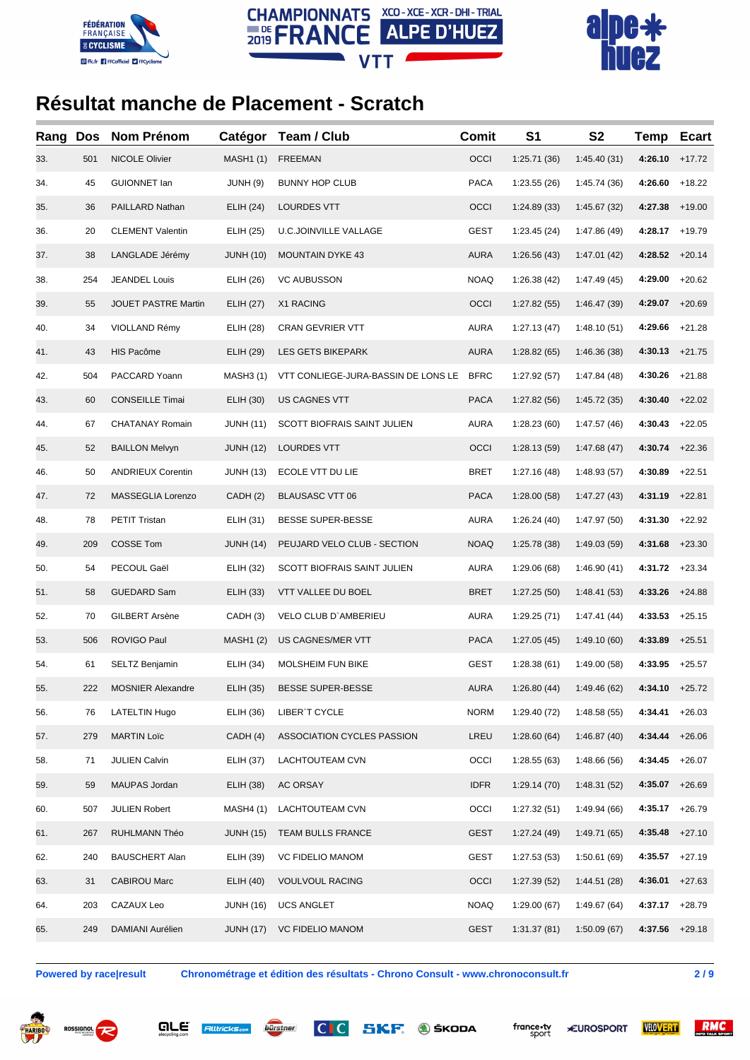





| Rang | Dos | Nom Prénom               | Catégor          | Team / Club                         | Comit       | S <sub>1</sub> | S <sub>2</sub> | <b>Temp</b>      | <b>Ecart</b> |
|------|-----|--------------------------|------------------|-------------------------------------|-------------|----------------|----------------|------------------|--------------|
| 33.  | 501 | NICOLE Olivier           | <b>MASH1 (1)</b> | <b>FREEMAN</b>                      | OCCI        | 1:25.71(36)    | 1:45.40(31)    | 4:26.10          | $+17.72$     |
| 34.  | 45  | <b>GUIONNET lan</b>      | JUNH (9)         | <b>BUNNY HOP CLUB</b>               | <b>PACA</b> | 1:23.55(26)    | 1:45.74 (36)   | 4:26.60          | $+18.22$     |
| 35.  | 36  | PAILLARD Nathan          | <b>ELIH (24)</b> | LOURDES VTT                         | OCCI        | 1:24.89(33)    | 1:45.67(32)    | 4:27.38          | $+19.00$     |
| 36.  | 20  | <b>CLEMENT Valentin</b>  | ELIH (25)        | <b>U.C.JOINVILLE VALLAGE</b>        | <b>GEST</b> | 1:23.45(24)    | 1:47.86 (49)   | 4:28.17          | $+19.79$     |
| 37.  | 38  | LANGLADE Jérémy          | <b>JUNH (10)</b> | <b>MOUNTAIN DYKE 43</b>             | <b>AURA</b> | 1:26.56(43)    | 1:47.01(42)    | 4:28.52          | $+20.14$     |
| 38.  | 254 | <b>JEANDEL Louis</b>     | ELIH (26)        | <b>VC AUBUSSON</b>                  | <b>NOAQ</b> | 1:26.38(42)    | 1:47.49(45)    | 4:29.00          | $+20.62$     |
| 39.  | 55  | JOUET PASTRE Martin      | <b>ELIH (27)</b> | X1 RACING                           | OCCI        | 1:27.82(55)    | 1:46.47(39)    | 4:29.07          | $+20.69$     |
| 40.  | 34  | VIOLLAND Rémy            | ELIH (28)        | CRAN GEVRIER VTT                    | <b>AURA</b> | 1:27.13(47)    | 1:48.10(51)    | 4:29.66          | $+21.28$     |
| 41.  | 43  | HIS Pacôme               | <b>ELIH (29)</b> | LES GETS BIKEPARK                   | <b>AURA</b> | 1:28.82(65)    | 1:46.36(38)    | 4:30.13          | $+21.75$     |
| 42.  | 504 | PACCARD Yoann            | <b>MASH3 (1)</b> | VTT CONLIEGE-JURA-BASSIN DE LONS LE | <b>BFRC</b> | 1:27.92(57)    | 1:47.84(48)    | 4:30.26          | $+21.88$     |
| 43.  | 60  | <b>CONSEILLE Timai</b>   | ELIH (30)        | US CAGNES VTT                       | <b>PACA</b> | 1:27.82(56)    | 1:45.72(35)    | 4:30.40          | $+22.02$     |
| 44.  | 67  | CHATANAY Romain          | <b>JUNH (11)</b> | SCOTT BIOFRAIS SAINT JULIEN         | <b>AURA</b> | 1:28.23(60)    | 1:47.57(46)    | 4:30.43          | $+22.05$     |
| 45.  | 52  | <b>BAILLON Melvyn</b>    | <b>JUNH (12)</b> | LOURDES VTT                         | OCCI        | 1:28.13(59)    | 1:47.68(47)    | 4:30.74          | $+22.36$     |
| 46.  | 50  | <b>ANDRIEUX Corentin</b> | <b>JUNH (13)</b> | ECOLE VTT DU LIE                    | <b>BRET</b> | 1:27.16(48)    | 1:48.93(57)    | 4:30.89          | $+22.51$     |
| 47.  | 72  | MASSEGLIA Lorenzo        | CADH (2)         | <b>BLAUSASC VTT 06</b>              | <b>PACA</b> | 1:28.00(58)    | 1:47.27(43)    | 4:31.19          | $+22.81$     |
| 48.  | 78  | <b>PETIT Tristan</b>     | ELIH (31)        | BESSE SUPER-BESSE                   | <b>AURA</b> | 1:26.24(40)    | 1:47.97 (50)   | 4:31.30          | $+22.92$     |
| 49.  | 209 | COSSE Tom                | <b>JUNH (14)</b> | PEUJARD VELO CLUB - SECTION         | <b>NOAQ</b> | 1:25.78(38)    | 1:49.03(59)    | 4:31.68          | $+23.30$     |
| 50.  | 54  | PECOUL Gaël              | ELIH (32)        | SCOTT BIOFRAIS SAINT JULIEN         | <b>AURA</b> | 1:29.06(68)    | 1:46.90(41)    | 4:31.72          | $+23.34$     |
| 51.  | 58  | <b>GUEDARD Sam</b>       | ELIH (33)        | VTT VALLEE DU BOEL                  | <b>BRET</b> | 1:27.25(50)    | 1:48.41(53)    | 4:33.26          | $+24.88$     |
| 52.  | 70  | GILBERT Arsène           | CADH (3)         | VELO CLUB D'AMBERIEU                | <b>AURA</b> | 1:29.25(71)    | 1:47.41(44)    | 4:33.53          | $+25.15$     |
| 53.  | 506 | ROVIGO Paul              | <b>MASH1 (2)</b> | US CAGNES/MER VTT                   | <b>PACA</b> | 1:27.05(45)    | 1:49.10 (60)   | 4:33.89          | $+25.51$     |
| 54.  | 61  | SELTZ Benjamin           | ELIH (34)        | MOLSHEIM FUN BIKE                   | GEST        | 1:28.38(61)    | 1:49.00(58)    | 4:33.95          | $+25.57$     |
| 55.  | 222 | <b>MOSNIER Alexandre</b> | ELIH (35)        | <b>BESSE SUPER-BESSE</b>            | AURA        | 1:26.80(44)    | 1:49.46 (62)   | $4:34.10 +25.72$ |              |
| 56.  | 76  | LATELTIN Hugo            | ELIH (36)        | LIBER'T CYCLE                       | <b>NORM</b> | 1:29.40(72)    | 1:48.58(55)    | 4:34.41          | $+26.03$     |
| 57.  | 279 | <b>MARTIN Loïc</b>       | CADH(4)          | ASSOCIATION CYCLES PASSION          | LREU        | 1:28.60(64)    | 1:46.87(40)    | 4:34.44          | $+26.06$     |
| 58.  | 71  | <b>JULIEN Calvin</b>     | ELIH (37)        | LACHTOUTEAM CVN                     | OCCI        | 1:28.55(63)    | 1:48.66(56)    | 4:34.45          | $+26.07$     |
| 59.  | 59  | MAUPAS Jordan            | ELIH (38)        | AC ORSAY                            | <b>IDFR</b> | 1:29.14(70)    | 1:48.31 (52)   | 4:35.07          | +26.69       |
| 60.  | 507 | <b>JULIEN Robert</b>     | <b>MASH4 (1)</b> | LACHTOUTEAM CVN                     | OCCI        | 1:27.32(51)    | 1:49.94 (66)   | 4:35.17          | $+26.79$     |
| 61.  | 267 | RUHLMANN Théo            | <b>JUNH (15)</b> | TEAM BULLS FRANCE                   | <b>GEST</b> | 1:27.24(49)    | 1:49.71(65)    | 4:35.48          | $+27.10$     |
| 62.  | 240 | <b>BAUSCHERT Alan</b>    | ELIH (39)        | <b>VC FIDELIO MANOM</b>             | GEST        | 1:27.53(53)    | 1:50.61(69)    | 4:35.57          | $+27.19$     |
| 63.  | 31  | <b>CABIROU Marc</b>      | <b>ELIH (40)</b> | <b>VOULVOUL RACING</b>              | OCCI        | 1:27.39(52)    | 1:44.51(28)    | 4:36.01          | $+27.63$     |
| 64.  | 203 | CAZAUX Leo               | <b>JUNH (16)</b> | <b>UCS ANGLET</b>                   | NOAQ        | 1:29.00(67)    | 1:49.67(64)    | 4:37.17          | $+28.79$     |
| 65.  | 249 | DAMIANI Aurélien         | <b>JUNH (17)</b> | <b>VC FIDELIO MANOM</b>             | <b>GEST</b> | 1:31.37(81)    | 1:50.09(67)    | 4:37.56          | $+29.18$     |
|      |     |                          |                  |                                     |             |                |                |                  |              |

**Powered by race|result Chronométrage et édition des résultats - Chrono Consult - www.chronoconsult.fr 2 / 9**

RMC





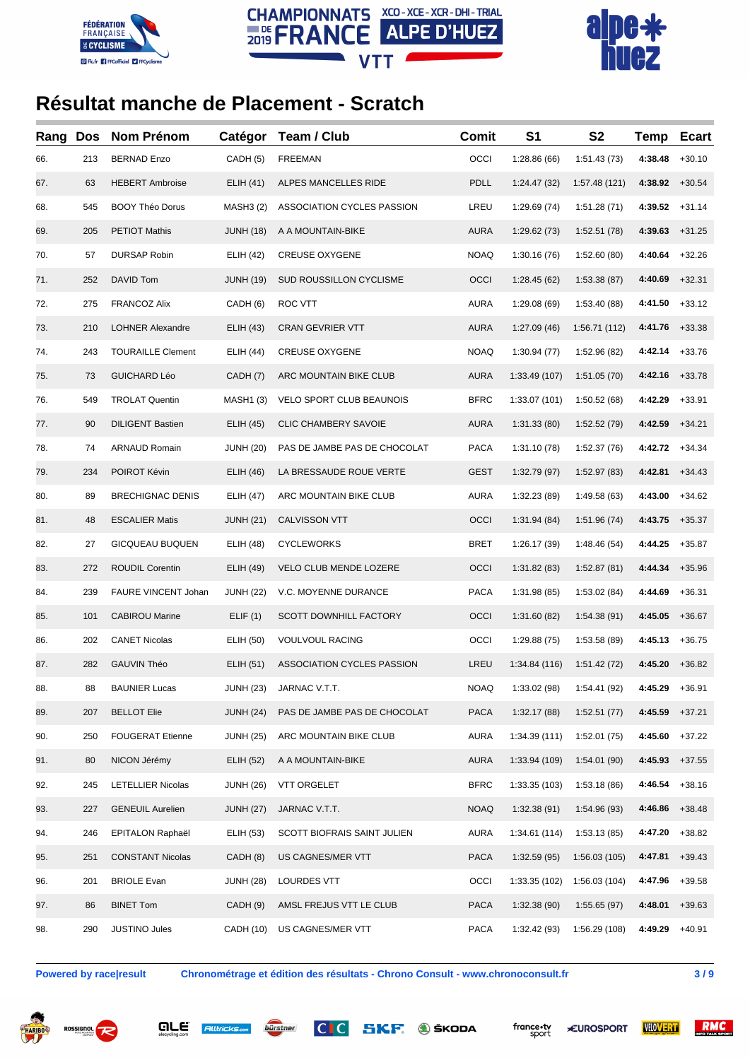





| Rang | <b>Dos</b> | Nom Prénom               | Catégor          | Team / Club                  | <b>Comit</b> | S <sub>1</sub> | S <sub>2</sub> | <b>Temp</b>      | <b>Ecart</b> |
|------|------------|--------------------------|------------------|------------------------------|--------------|----------------|----------------|------------------|--------------|
| 66.  | 213        | <b>BERNAD Enzo</b>       | CADH (5)         | <b>FREEMAN</b>               | OCCI         | 1:28.86(66)    | 1:51.43(73)    | 4:38.48          | $+30.10$     |
| 67.  | 63         | <b>HEBERT Ambroise</b>   | ELIH (41)        | ALPES MANCELLES RIDE         | PDLL         | 1:24.47 (32)   | 1:57.48 (121)  | 4:38.92          | $+30.54$     |
| 68.  | 545        | <b>BOOY Théo Dorus</b>   | <b>MASH3 (2)</b> | ASSOCIATION CYCLES PASSION   | LREU         | 1:29.69(74)    | 1:51.28(71)    | 4:39.52          | $+31.14$     |
| 69.  | 205        | <b>PETIOT Mathis</b>     | <b>JUNH (18)</b> | A A MOUNTAIN-BIKE            | <b>AURA</b>  | 1:29.62(73)    | 1:52.51(78)    | 4:39.63          | $+31.25$     |
| 70.  | 57         | <b>DURSAP Robin</b>      | <b>ELIH (42)</b> | <b>CREUSE OXYGENE</b>        | <b>NOAQ</b>  | 1:30.16(76)    | 1:52.60(80)    | 4:40.64          | $+32.26$     |
| 71.  | 252        | DAVID Tom                | <b>JUNH (19)</b> | SUD ROUSSILLON CYCLISME      | OCCI         | 1:28.45(62)    | 1:53.38(87)    | 4:40.69          | $+32.31$     |
| 72.  | 275        | <b>FRANCOZ Alix</b>      | CADH (6)         | ROC VTT                      | <b>AURA</b>  | 1:29.08(69)    | 1:53.40 (88)   | 4:41.50          | $+33.12$     |
| 73.  | 210        | <b>LOHNER Alexandre</b>  | ELIH (43)        | <b>CRAN GEVRIER VTT</b>      | <b>AURA</b>  | 1:27.09(46)    | 1:56.71 (112)  | 4:41.76          | $+33.38$     |
| 74.  | 243        | <b>TOURAILLE Clement</b> | ELIH (44)        | <b>CREUSE OXYGENE</b>        | <b>NOAQ</b>  | 1:30.94(77)    | 1:52.96 (82)   | 4:42.14          | $+33.76$     |
| 75.  | 73         | <b>GUICHARD Léo</b>      | CADH (7)         | ARC MOUNTAIN BIKE CLUB       | <b>AURA</b>  | 1:33.49 (107)  | 1:51.05(70)    | 4:42.16          | $+33.78$     |
| 76.  | 549        | <b>TROLAT Quentin</b>    | <b>MASH1(3)</b>  | VELO SPORT CLUB BEAUNOIS     | <b>BFRC</b>  | 1:33.07 (101)  | 1:50.52(68)    | 4:42.29          | $+33.91$     |
| 77.  | 90         | <b>DILIGENT Bastien</b>  | ELIH (45)        | <b>CLIC CHAMBERY SAVOIE</b>  | <b>AURA</b>  | 1:31.33(80)    | 1:52.52(79)    | 4:42.59          | $+34.21$     |
| 78.  | 74         | <b>ARNAUD Romain</b>     | <b>JUNH (20)</b> | PAS DE JAMBE PAS DE CHOCOLAT | <b>PACA</b>  | 1:31.10(78)    | 1:52.37(76)    | 4:42.72          | $+34.34$     |
| 79.  | 234        | POIROT Kévin             | ELIH (46)        | LA BRESSAUDE ROUE VERTE      | GEST         | 1:32.79(97)    | 1:52.97(83)    | 4:42.81          | $+34.43$     |
| 80.  | 89         | <b>BRECHIGNAC DENIS</b>  | ELIH (47)        | ARC MOUNTAIN BIKE CLUB       | <b>AURA</b>  | 1:32.23 (89)   | 1:49.58 (63)   | 4:43.00          | $+34.62$     |
| 81.  | 48         | <b>ESCALIER Matis</b>    | <b>JUNH (21)</b> | CALVISSON VTT                | OCCI         | 1:31.94(84)    | 1:51.96(74)    | 4:43.75          | $+35.37$     |
| 82.  | 27         | <b>GICQUEAU BUQUEN</b>   | <b>ELIH (48)</b> | <b>CYCLEWORKS</b>            | <b>BRET</b>  | 1:26.17 (39)   | 1:48.46(54)    | 4:44.25          | $+35.87$     |
| 83.  | 272        | <b>ROUDIL Corentin</b>   | ELIH (49)        | VELO CLUB MENDE LOZERE       | OCCI         | 1:31.82(83)    | 1:52.87(81)    | 4:44.34          | $+35.96$     |
| 84.  | 239        | FAURE VINCENT Johan      | <b>JUNH (22)</b> | V.C. MOYENNE DURANCE         | <b>PACA</b>  | 1:31.98 (85)   | 1:53.02(84)    | 4:44.69          | $+36.31$     |
| 85.  | 101        | <b>CABIROU Marine</b>    | ELIF(1)          | SCOTT DOWNHILL FACTORY       | OCCI         | 1:31.60(82)    | 1:54.38(91)    | 4:45.05          | $+36.67$     |
| 86.  | 202        | <b>CANET Nicolas</b>     | ELIH (50)        | <b>VOULVOUL RACING</b>       | OCCI         | 1:29.88(75)    | 1:53.58 (89)   | 4:45.13          | $+36.75$     |
| 87.  | 282        | <b>GAUVIN Théo</b>       | ELIH (51)        | ASSOCIATION CYCLES PASSION   | LREU         | 1:34.84 (116)  | 1:51.42(72)    | 4:45.20          | $+36.82$     |
| 88.  | 88         | <b>BAUNIER Lucas</b>     |                  | JUNH (23) JARNAC V.T.T.      | NOAQ         | 1:33.02 (98)   | 1:54.41 (92)   | $4:45.29 +36.91$ |              |
| 89.  | 207        | <b>BELLOT Elie</b>       | <b>JUNH (24)</b> | PAS DE JAMBE PAS DE CHOCOLAT | <b>PACA</b>  | 1:32.17(88)    | 1:52.51(77)    | 4:45.59          | +37.21       |
| 90.  | 250        | <b>FOUGERAT Etienne</b>  | <b>JUNH (25)</b> | ARC MOUNTAIN BIKE CLUB       | <b>AURA</b>  | 1:34.39(111)   | 1:52.01(75)    | 4:45.60          | $+37.22$     |
| 91.  | 80         | NICON Jérémy             | <b>ELIH (52)</b> | A A MOUNTAIN-BIKE            | <b>AURA</b>  | 1:33.94 (109)  | 1:54.01(90)    | 4:45.93          | $+37.55$     |
| 92.  | 245        | <b>LETELLIER Nicolas</b> | <b>JUNH (26)</b> | <b>VTT ORGELET</b>           | <b>BFRC</b>  | 1:33.35 (103)  | 1:53.18 (86)   | 4:46.54          | $+38.16$     |
| 93.  | 227        | <b>GENEUIL Aurelien</b>  | <b>JUNH (27)</b> | JARNAC V.T.T.                | <b>NOAQ</b>  | 1:32.38(91)    | 1:54.96 (93)   | 4:46.86          | $+38.48$     |
| 94.  | 246        | EPITALON Raphaël         | ELIH (53)        | SCOTT BIOFRAIS SAINT JULIEN  | <b>AURA</b>  | 1:34.61(114)   | 1:53.13(85)    | 4:47.20          | $+38.82$     |
| 95.  | 251        | <b>CONSTANT Nicolas</b>  | CADH (8)         | US CAGNES/MER VTT            | <b>PACA</b>  | 1:32.59(95)    | 1:56.03 (105)  | 4:47.81          | $+39.43$     |
| 96.  | 201        | <b>BRIOLE Evan</b>       | <b>JUNH (28)</b> | LOURDES VTT                  | OCCI         | 1:33.35 (102)  | 1:56.03 (104)  | 4:47.96          | $+39.58$     |
| 97.  | 86         | <b>BINET Tom</b>         | CADH (9)         | AMSL FREJUS VTT LE CLUB      | <b>PACA</b>  | 1:32.38(90)    | 1:55.65 (97)   | 4:48.01          | $+39.63$     |
| 98.  | 290        | <b>JUSTINO Jules</b>     | CADH (10)        | US CAGNES/MER VTT            | <b>PACA</b>  | 1:32.42(93)    | 1:56.29 (108)  | 4:49.29          | $+40.91$     |

**Powered by race|result Chronométrage et édition des résultats - Chrono Consult - www.chronoconsult.fr 3 / 9**











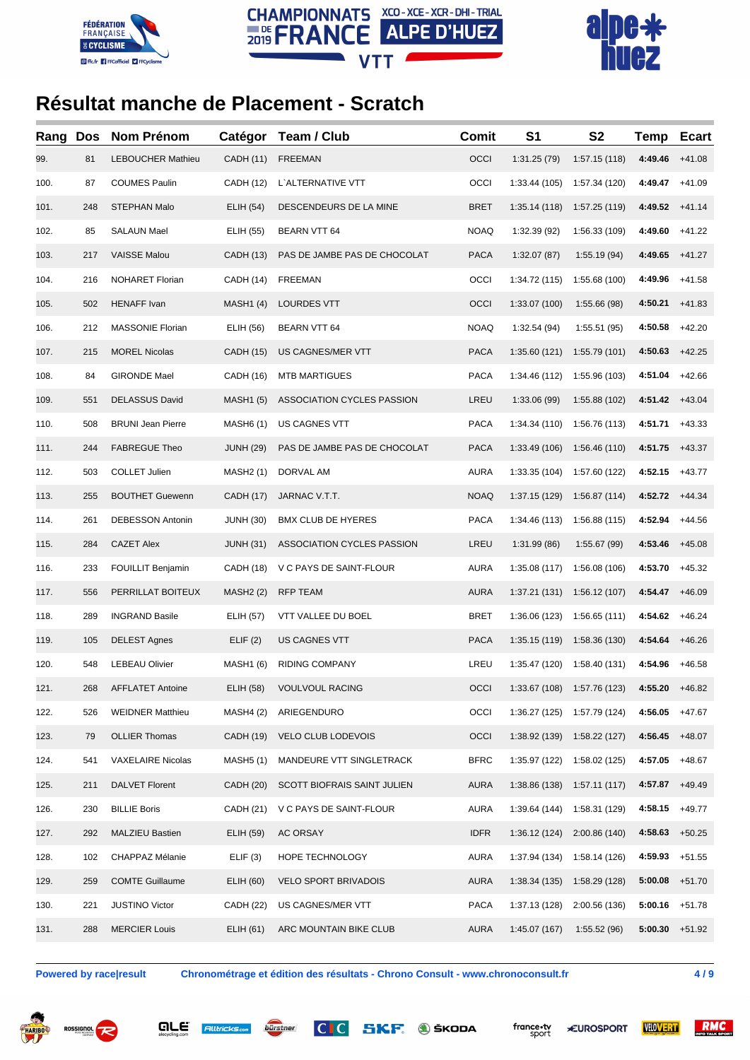





| Rang | <b>Dos</b> | Nom Prénom               | Catégor          | Team / Club                        | Comit       | S <sub>1</sub> | S <sub>2</sub>                      | <b>Temp</b> | <b>Ecart</b> |
|------|------------|--------------------------|------------------|------------------------------------|-------------|----------------|-------------------------------------|-------------|--------------|
| 99.  | 81         | <b>LEBOUCHER Mathieu</b> | <b>CADH (11)</b> | <b>FREEMAN</b>                     | OCCI        | 1:31.25(79)    | 1:57.15(118)                        | 4:49.46     | $+41.08$     |
| 100. | 87         | <b>COUMES Paulin</b>     | <b>CADH (12)</b> | L'ALTERNATIVE VTT                  | OCCI        | 1:33.44 (105)  | 1:57.34 (120)                       | 4:49.47     | $+41.09$     |
| 101. | 248        | <b>STEPHAN Malo</b>      | ELIH (54)        | DESCENDEURS DE LA MINE             | <b>BRET</b> | 1:35.14(118)   | 1:57.25 (119)                       | 4:49.52     | $+41.14$     |
| 102. | 85         | <b>SALAUN Mael</b>       | ELIH (55)        | <b>BEARN VTT 64</b>                | <b>NOAQ</b> | 1:32.39 (92)   | 1:56.33 (109)                       | 4:49.60     | $+41.22$     |
| 103. | 217        | <b>VAISSE Malou</b>      | <b>CADH (13)</b> | PAS DE JAMBE PAS DE CHOCOLAT       | <b>PACA</b> | 1:32.07(87)    | 1:55.19(94)                         | 4:49.65     | $+41.27$     |
| 104. | 216        | <b>NOHARET Florian</b>   | CADH (14)        | <b>FREEMAN</b>                     | OCCI        | 1:34.72 (115)  | 1:55.68 (100)                       | 4:49.96     | $+41.58$     |
| 105. | 502        | <b>HENAFF</b> Ivan       | <b>MASH1 (4)</b> | <b>LOURDES VTT</b>                 | OCCI        | 1:33.07 (100)  | 1:55.66 (98)                        | 4:50.21     | $+41.83$     |
| 106. | 212        | <b>MASSONIE Florian</b>  | ELIH (56)        | <b>BEARN VTT 64</b>                | <b>NOAQ</b> | 1:32.54 (94)   | 1:55.51(95)                         | 4:50.58     | $+42.20$     |
| 107. | 215        | <b>MOREL Nicolas</b>     | CADH (15)        | US CAGNES/MER VTT                  | <b>PACA</b> | 1:35.60(121)   | 1:55.79 (101)                       | 4:50.63     | $+42.25$     |
| 108. | 84         | <b>GIRONDE Mael</b>      | <b>CADH (16)</b> | <b>MTB MARTIGUES</b>               | <b>PACA</b> | 1:34.46 (112)  | 1:55.96 (103)                       | 4:51.04     | $+42.66$     |
| 109. | 551        | <b>DELASSUS David</b>    | <b>MASH1 (5)</b> | ASSOCIATION CYCLES PASSION         | LREU        | 1:33.06 (99)   | 1:55.88 (102)                       | 4:51.42     | $+43.04$     |
| 110. | 508        | <b>BRUNI Jean Pierre</b> | <b>MASH6 (1)</b> | US CAGNES VTT                      | <b>PACA</b> | 1:34.34 (110)  | 1:56.76 (113)                       | 4:51.71     | $+43.33$     |
| 111. | 244        | <b>FABREGUE Theo</b>     | <b>JUNH (29)</b> | PAS DE JAMBE PAS DE CHOCOLAT       | <b>PACA</b> | 1:33.49 (106)  | 1:56.46 (110)                       | 4:51.75     | $+43.37$     |
| 112. | 503        | <b>COLLET Julien</b>     | <b>MASH2 (1)</b> | DORVAL AM                          | <b>AURA</b> | 1:33.35 (104)  | 1:57.60 (122)                       | 4:52.15     | $+43.77$     |
| 113. | 255        | <b>BOUTHET Guewenn</b>   | <b>CADH (17)</b> | JARNAC V.T.T.                      | <b>NOAQ</b> | 1:37.15(129)   | 1:56.87(114)                        | 4:52.72     | $+44.34$     |
| 114. | 261        | <b>DEBESSON Antonin</b>  | <b>JUNH (30)</b> | <b>BMX CLUB DE HYERES</b>          | <b>PACA</b> | 1:34.46 (113)  | 1:56.88 (115)                       | 4:52.94     | $+44.56$     |
| 115. | 284        | <b>CAZET Alex</b>        | <b>JUNH (31)</b> | ASSOCIATION CYCLES PASSION         | LREU        | 1:31.99(86)    | 1:55.67 (99)                        | 4:53.46     | $+45.08$     |
| 116. | 233        | <b>FOUILLIT Benjamin</b> | CADH (18)        | V C PAYS DE SAINT-FLOUR            | <b>AURA</b> | 1:35.08 (117)  | 1:56.08 (106)                       | 4:53.70     | $+45.32$     |
| 117. | 556        | PERRILLAT BOITEUX        | <b>MASH2 (2)</b> | <b>RFP TEAM</b>                    | <b>AURA</b> | 1:37.21(131)   | 1:56.12 (107)                       | 4:54.47     | $+46.09$     |
| 118. | 289        | <b>INGRAND Basile</b>    | <b>ELIH (57)</b> | VTT VALLEE DU BOEL                 | <b>BRET</b> | 1:36.06 (123)  | 1:56.65(111)                        | 4:54.62     | $+46.24$     |
| 119. | 105        | <b>DELEST Agnes</b>      | ELIF(2)          | US CAGNES VTT                      | <b>PACA</b> | 1:35.15(119)   | 1:58.36 (130)                       | 4:54.64     | $+46.26$     |
| 120. | 548        | <b>LEBEAU Olivier</b>    | <b>MASH1 (6)</b> | <b>RIDING COMPANY</b>              | LREU        | 1:35.47 (120)  | 1:58.40 (131)                       | 4:54.96     | $+46.58$     |
| 121. | 268        | AFFLATET Antoine         |                  | ELIH (58) VOULVOUL RACING          | OCCI        |                | 1:33.67 (108) 1:57.76 (123) 4:55.20 |             | +46.82       |
| 122. | 526        | <b>WEIDNER Matthieu</b>  | <b>MASH4 (2)</b> | ARIEGENDURO                        | OCCI        | 1:36.27(125)   | 1:57.79 (124)                       | 4:56.05     | $+47.67$     |
| 123. | 79         | <b>OLLIER Thomas</b>     | CADH (19)        | VELO CLUB LODEVOIS                 | OCCI        | 1:38.92 (139)  | 1:58.22 (127)                       | 4:56.45     | $+48.07$     |
| 124. | 541        | <b>VAXELAIRE Nicolas</b> | <b>MASH5 (1)</b> | MANDEURE VTT SINGLETRACK           | <b>BFRC</b> | 1:35.97 (122)  | 1:58.02 (125)                       | 4:57.05     | $+48.67$     |
| 125. | 211        | <b>DALVET Florent</b>    | CADH (20)        | <b>SCOTT BIOFRAIS SAINT JULIEN</b> | <b>AURA</b> | 1:38.86(138)   | 1:57.11(117)                        | 4:57.87     | $+49.49$     |
| 126. | 230        | <b>BILLIE Boris</b>      | CADH (21)        | V C PAYS DE SAINT-FLOUR            | <b>AURA</b> | 1:39.64(144)   | 1:58.31 (129)                       | 4:58.15     | $+49.77$     |
| 127. | 292        | <b>MALZIEU Bastien</b>   | ELIH (59)        | AC ORSAY                           | <b>IDFR</b> | 1:36.12(124)   | 2:00.86 (140)                       | 4:58.63     | $+50.25$     |
| 128. | 102        | CHAPPAZ Mélanie          | ELIF(3)          | HOPE TECHNOLOGY                    | <b>AURA</b> | 1:37.94 (134)  | 1:58.14 (126)                       | 4:59.93     | $+51.55$     |
| 129. | 259        | <b>COMTE Guillaume</b>   | ELIH (60)        | <b>VELO SPORT BRIVADOIS</b>        | <b>AURA</b> | 1:38.34(135)   | 1:58.29 (128)                       | 5:00.08     | $+51.70$     |
| 130. | 221        | <b>JUSTINO Victor</b>    | CADH (22)        | US CAGNES/MER VTT                  | PACA        | 1:37.13 (128)  | 2:00.56 (136)                       | 5:00.16     | $+51.78$     |
| 131. | 288        | <b>MERCIER Louis</b>     | ELIH (61)        | ARC MOUNTAIN BIKE CLUB             | <b>AURA</b> | 1:45.07 (167)  | 1:55.52(96)                         | 5:00.30     | +51.92       |
|      |            |                          |                  |                                    |             |                |                                     |             |              |

**Powered by race|result Chronométrage et édition des résultats - Chrono Consult - www.chronoconsult.fr 4 / 9**







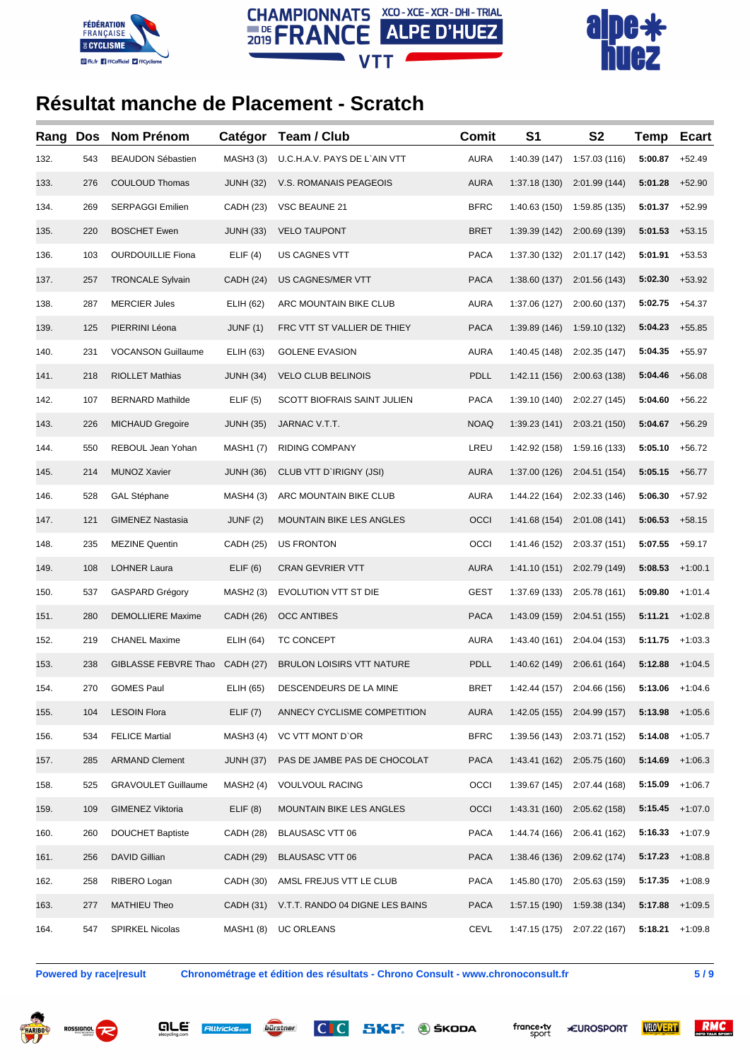





| Rang | <b>Dos</b> | Nom Prénom                 | Catégor          | Team / Club                     | <b>Comit</b> | S <sub>1</sub> | S <sub>2</sub>              | Temp              | <b>Ecart</b> |
|------|------------|----------------------------|------------------|---------------------------------|--------------|----------------|-----------------------------|-------------------|--------------|
| 132. | 543        | <b>BEAUDON Sébastien</b>   | <b>MASH3 (3)</b> | U.C.H.A.V. PAYS DE L`AIN VTT    | AURA         | 1:40.39 (147)  | 1:57.03 (116)               | 5:00.87           | $+52.49$     |
| 133. | 276        | COULOUD Thomas             | <b>JUNH (32)</b> | V.S. ROMANAIS PEAGEOIS          | <b>AURA</b>  | 1:37.18 (130)  | 2:01.99 (144)               | 5:01.28           | $+52.90$     |
| 134. | 269        | <b>SERPAGGI Emilien</b>    | CADH (23)        | VSC BEAUNE 21                   | <b>BFRC</b>  | 1:40.63 (150)  | 1:59.85 (135)               | 5:01.37           | $+52.99$     |
| 135. | 220        | <b>BOSCHET Ewen</b>        | <b>JUNH (33)</b> | <b>VELO TAUPONT</b>             | <b>BRET</b>  | 1:39.39 (142)  | 2:00.69 (139)               | 5:01.53           | $+53.15$     |
| 136. | 103        | <b>OURDOUILLIE Fiona</b>   | ELIF(4)          | US CAGNES VTT                   | <b>PACA</b>  | 1:37.30 (132)  | 2:01.17 (142)               | 5:01.91           | $+53.53$     |
| 137. | 257        | <b>TRONCALE Sylvain</b>    | <b>CADH (24)</b> | US CAGNES/MER VTT               | <b>PACA</b>  | 1:38.60 (137)  | 2:01.56 (143)               | 5:02.30           | $+53.92$     |
| 138. | 287        | <b>MERCIER Jules</b>       | ELIH (62)        | ARC MOUNTAIN BIKE CLUB          | <b>AURA</b>  | 1:37.06 (127)  | 2:00.60 (137)               | 5:02.75           | $+54.37$     |
| 139. | 125        | PIERRINI Léona             | JUNF(1)          | FRC VTT ST VALLIER DE THIEY     | <b>PACA</b>  | 1:39.89 (146)  | 1:59.10 (132)               | 5:04.23           | $+55.85$     |
| 140. | 231        | <b>VOCANSON Guillaume</b>  | ELIH (63)        | <b>GOLENE EVASION</b>           | AURA         | 1:40.45 (148)  | 2:02.35 (147)               | 5:04.35           | $+55.97$     |
| 141. | 218        | <b>RIOLLET Mathias</b>     | <b>JUNH (34)</b> | <b>VELO CLUB BELINOIS</b>       | <b>PDLL</b>  | 1:42.11 (156)  | 2:00.63 (138)               | 5:04.46           | $+56.08$     |
| 142. | 107        | <b>BERNARD Mathilde</b>    | ELIF(5)          | SCOTT BIOFRAIS SAINT JULIEN     | <b>PACA</b>  | 1:39.10 (140)  | 2:02.27 (145)               | 5:04.60           | $+56.22$     |
| 143. | 226        | <b>MICHAUD Gregoire</b>    | <b>JUNH (35)</b> | JARNAC V.T.T.                   | <b>NOAQ</b>  | 1:39.23(141)   | 2:03.21 (150)               | 5:04.67           | $+56.29$     |
| 144. | 550        | REBOUL Jean Yohan          | <b>MASH1 (7)</b> | RIDING COMPANY                  | LREU         | 1:42.92 (158)  | 1:59.16 (133)               | 5:05.10           | $+56.72$     |
| 145. | 214        | <b>MUNOZ Xavier</b>        | <b>JUNH (36)</b> | CLUB VTT D'IRIGNY (JSI)         | <b>AURA</b>  | 1:37.00 (126)  | 2:04.51 (154)               | 5:05.15           | $+56.77$     |
| 146. | 528        | <b>GAL Stéphane</b>        | MASH4 (3)        | ARC MOUNTAIN BIKE CLUB          | <b>AURA</b>  | 1:44.22 (164)  | 2:02.33 (146)               | 5:06.30           | $+57.92$     |
| 147. | 121        | <b>GIMENEZ Nastasia</b>    | JUNF(2)          | MOUNTAIN BIKE LES ANGLES        | OCCI         | 1:41.68 (154)  | 2:01.08 (141)               | 5:06.53           | $+58.15$     |
| 148. | 235        | <b>MEZINE Quentin</b>      | CADH (25)        | US FRONTON                      | OCCI         | 1:41.46 (152)  | 2:03.37 (151)               | 5:07.55           | $+59.17$     |
| 149. | 108        | <b>LOHNER Laura</b>        | ELIF(6)          | <b>CRAN GEVRIER VTT</b>         | <b>AURA</b>  | 1:41.10(151)   | 2:02.79 (149)               | 5:08.53           | $+1:00.1$    |
| 150. | 537        | GASPARD Grégory            | <b>MASH2 (3)</b> | EVOLUTION VTT ST DIE            | <b>GEST</b>  | 1:37.69 (133)  | 2:05.78 (161)               | 5:09.80           | $+1:01.4$    |
| 151. | 280        | <b>DEMOLLIERE Maxime</b>   | <b>CADH (26)</b> | <b>OCC ANTIBES</b>              | <b>PACA</b>  | 1:43.09 (159)  | 2:04.51 (155)               | 5:11.21           | $+1:02.8$    |
| 152. | 219        | <b>CHANEL Maxime</b>       | ELIH (64)        | <b>TC CONCEPT</b>               | <b>AURA</b>  | 1:43.40 (161)  | 2:04.04 (153)               | 5:11.75           | $+1:03.3$    |
| 153. | 238        | GIBLASSE FEBVRE Thao       | <b>CADH (27)</b> | BRULON LOISIRS VTT NATURE       | PDLL         | 1:40.62 (149)  | 2:06.61 (164)               | 5:12.88           | $+1:04.5$    |
| 154. | 270        | <b>GOMES Paul</b>          | ELIH (65)        | DESCENDEURS DE LA MINE          | <b>BRET</b>  |                | 1:42.44 (157) 2:04.66 (156) | $5:13.06$ +1:04.6 |              |
| 155. | 104        | <b>LESOIN Flora</b>        | ELIF(7)          | ANNECY CYCLISME COMPETITION     | <b>AURA</b>  | 1:42.05(155)   | 2:04.99 (157)               | 5:13.98           | $+1:05.6$    |
| 156. | 534        | <b>FELICE Martial</b>      | <b>MASH3 (4)</b> | VC VTT MONT D'OR                | <b>BFRC</b>  | 1:39.56 (143)  | 2:03.71 (152)               | 5:14.08           | $+1:05.7$    |
| 157. | 285        | <b>ARMAND Clement</b>      | JUNH (37)        | PAS DE JAMBE PAS DE CHOCOLAT    | PACA         | 1:43.41 (162)  | 2:05.75(160)                | 5:14.69           | $+1:06.3$    |
| 158. | 525        | <b>GRAVOULET Guillaume</b> | <b>MASH2 (4)</b> | <b>VOULVOUL RACING</b>          | OCCI         | 1:39.67(145)   | 2:07.44 (168)               | 5:15.09           | $+1:06.7$    |
| 159. | 109        | <b>GIMENEZ Viktoria</b>    | ELIF(8)          | MOUNTAIN BIKE LES ANGLES        | OCCI         | 1:43.31(160)   | 2:05.62 (158)               | 5:15.45           | $+1:07.0$    |
| 160. | 260        | <b>DOUCHET Baptiste</b>    | CADH (28)        | BLAUSASC VTT 06                 | PACA         | 1:44.74 (166)  | 2:06.41 (162)               | 5:16.33           | $+1:07.9$    |
| 161. | 256        | DAVID Gillian              | CADH (29)        | <b>BLAUSASC VTT 06</b>          | <b>PACA</b>  | 1:38.46 (136)  | 2:09.62 (174)               | 5:17.23           | $+1:08.8$    |
| 162. | 258        | RIBERO Logan               | CADH (30)        | AMSL FREJUS VTT LE CLUB         | PACA         | 1:45.80 (170)  | 2:05.63 (159)               | 5:17.35           | $+1:08.9$    |
| 163. | 277        | <b>MATHIEU Theo</b>        | CADH (31)        | V.T.T. RANDO 04 DIGNE LES BAINS | <b>PACA</b>  | 1:57.15(190)   | 1:59.38 (134)               | 5:17.88           | $+1:09.5$    |
| 164. | 547        | SPIRKEL Nicolas            | <b>MASH1 (8)</b> | <b>UC ORLEANS</b>               | CEVL         | 1:47.15 (175)  | 2:07.22 (167)               | 5:18.21           | $+1:09.8$    |

**Powered by race|result Chronométrage et édition des résultats - Chrono Consult - www.chronoconsult.fr 5 / 9**







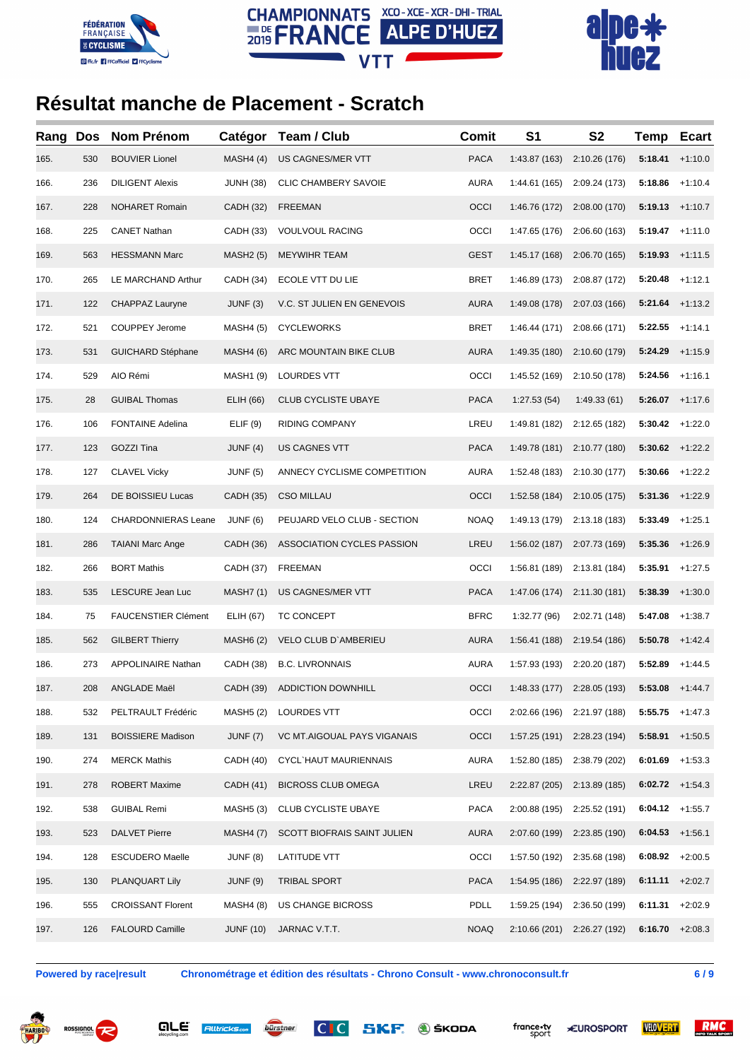





| Rang | <b>Dos</b> | <b>Nom Prénom</b>          | Catégor          | Team / Club                  | <b>Comit</b> | S <sub>1</sub> | S <sub>2</sub>              | Temp              | <b>Ecart</b> |
|------|------------|----------------------------|------------------|------------------------------|--------------|----------------|-----------------------------|-------------------|--------------|
| 165. | 530        | <b>BOUVIER Lionel</b>      | MASH4(4)         | US CAGNES/MER VTT            | <b>PACA</b>  | 1:43.87 (163)  | 2:10.26 (176)               | 5:18.41           | $+1:10.0$    |
| 166. | 236        | <b>DILIGENT Alexis</b>     | <b>JUNH (38)</b> | CLIC CHAMBERY SAVOIE         | <b>AURA</b>  | 1:44.61 (165)  | 2:09.24 (173)               | 5:18.86           | $+1:10.4$    |
| 167. | 228        | <b>NOHARET Romain</b>      | <b>CADH (32)</b> | <b>FREEMAN</b>               | OCCI         | 1:46.76 (172)  | 2:08.00 (170)               | 5:19.13           | $+1:10.7$    |
| 168. | 225        | <b>CANET Nathan</b>        | CADH (33)        | <b>VOULVOUL RACING</b>       | OCCI         | 1:47.65 (176)  | 2:06.60(163)                | 5:19.47           | $+1:11.0$    |
| 169. | 563        | <b>HESSMANN Marc</b>       | <b>MASH2 (5)</b> | <b>MEYWIHR TEAM</b>          | GEST         | 1:45.17(168)   | 2:06.70 (165)               | 5:19.93           | $+1:11.5$    |
| 170. | 265        | LE MARCHAND Arthur         | CADH (34)        | ECOLE VTT DU LIE             | <b>BRET</b>  | 1:46.89 (173)  | 2:08.87 (172)               | 5:20.48           | $+1:12.1$    |
| 171. | 122        | CHAPPAZ Lauryne            | JUNF(3)          | V.C. ST JULIEN EN GENEVOIS   | <b>AURA</b>  | 1:49.08 (178)  | 2:07.03 (166)               | 5:21.64           | $+1:13.2$    |
| 172. | 521        | <b>COUPPEY Jerome</b>      | <b>MASH4 (5)</b> | <b>CYCLEWORKS</b>            | <b>BRET</b>  | 1:46.44 (171)  | 2:08.66 (171)               | 5:22.55           | $+1:14.1$    |
| 173. | 531        | <b>GUICHARD Stéphane</b>   | <b>MASH4 (6)</b> | ARC MOUNTAIN BIKE CLUB       | <b>AURA</b>  | 1:49.35 (180)  | 2:10.60 (179)               | 5:24.29           | $+1:15.9$    |
| 174. | 529        | AIO Rémi                   | <b>MASH1 (9)</b> | LOURDES VTT                  | OCCI         | 1:45.52 (169)  | 2:10.50 (178)               | 5:24.56           | $+1:16.1$    |
| 175. | 28         | <b>GUIBAL Thomas</b>       | ELIH (66)        | <b>CLUB CYCLISTE UBAYE</b>   | <b>PACA</b>  | 1:27.53(54)    | 1:49.33(61)                 | 5:26.07           | $+1:17.6$    |
| 176. | 106        | <b>FONTAINE Adelina</b>    | ELIF(9)          | RIDING COMPANY               | LREU         | 1:49.81 (182)  | 2:12.65 (182)               | 5:30.42           | $+1:22.0$    |
| 177. | 123        | GOZZI Tina                 | JUNF $(4)$       | <b>US CAGNES VTT</b>         | <b>PACA</b>  | 1:49.78 (181)  | 2:10.77 (180)               | 5:30.62           | $+1:22.2$    |
| 178. | 127        | <b>CLAVEL Vicky</b>        | <b>JUNF (5)</b>  | ANNECY CYCLISME COMPETITION  | <b>AURA</b>  | 1:52.48 (183)  | 2:10.30 (177)               | 5:30.66           | $+1:22.2$    |
| 179. | 264        | DE BOISSIEU Lucas          | <b>CADH (35)</b> | <b>CSO MILLAU</b>            | OCCI         | 1:52.58 (184)  | 2:10.05 (175)               | 5:31.36           | $+1:22.9$    |
| 180. | 124        | CHARDONNIERAS Leane        | JUNF (6)         | PEUJARD VELO CLUB - SECTION  | <b>NOAQ</b>  | 1:49.13 (179)  | 2:13.18 (183)               | 5:33.49           | $+1:25.1$    |
| 181. | 286        | <b>TAIANI Marc Ange</b>    | CADH (36)        | ASSOCIATION CYCLES PASSION   | LREU         | 1:56.02(187)   | 2:07.73 (169)               | 5:35.36           | $+1:26.9$    |
| 182. | 266        | <b>BORT Mathis</b>         | CADH (37)        | <b>FREEMAN</b>               | OCCI         | 1:56.81 (189)  | 2:13.81 (184)               | 5:35.91           | $+1:27.5$    |
| 183. | 535        | LESCURE Jean Luc           | <b>MASH7(1)</b>  | US CAGNES/MER VTT            | <b>PACA</b>  | 1:47.06 (174)  | 2:11.30 (181)               | 5:38.39           | $+1:30.0$    |
| 184. | 75         | <b>FAUCENSTIER Clément</b> | ELIH (67)        | TC CONCEPT                   | <b>BFRC</b>  | 1:32.77 (96)   | 2:02.71 (148)               | 5:47.08           | $+1:38.7$    |
| 185. | 562        | <b>GILBERT Thierry</b>     | <b>MASH6 (2)</b> | VELO CLUB D'AMBERIEU         | <b>AURA</b>  | 1:56.41 (188)  | 2:19.54 (186)               | 5:50.78           | $+1:42.4$    |
| 186. | 273        | APPOLINAIRE Nathan         | CADH (38)        | <b>B.C. LIVRONNAIS</b>       | <b>AURA</b>  | 1:57.93 (193)  | 2:20.20 (187)               | 5:52.89           | $+1:44.5$    |
| 187. | 208        | ANGLADE Maël               |                  | CADH (39) ADDICTION DOWNHILL | OCCI         |                | 1:48.33 (177) 2:28.05 (193) | $5:53.08$ +1:44.7 |              |
| 188. | 532        | PELTRAULT Frédéric         | <b>MASH5 (2)</b> | LOURDES VTT                  | OCCI         | 2:02.66 (196)  | 2:21.97 (188)               | 5:55.75           | $+1:47.3$    |
| 189. | 131        | <b>BOISSIERE Madison</b>   | <b>JUNF (7)</b>  | VC MT.AIGOUAL PAYS VIGANAIS  | OCCI         | 1:57.25(191)   | 2:28.23 (194)               | 5:58.91           | $+1:50.5$    |
| 190. | 274        | <b>MERCK Mathis</b>        | CADH (40)        | CYCL`HAUT MAURIENNAIS        | <b>AURA</b>  | 1:52.80 (185)  | 2:38.79 (202)               | 6:01.69           | $+1:53.3$    |
| 191. | 278        | ROBERT Maxime              | CADH (41)        | <b>BICROSS CLUB OMEGA</b>    | LREU         | 2:22.87(205)   | 2:13.89 (185)               | 6:02.72           | $+1:54.3$    |
| 192. | 538        | <b>GUIBAL Remi</b>         | <b>MASH5 (3)</b> | CLUB CYCLISTE UBAYE          | PACA         | 2:00.88 (195)  | 2:25.52 (191)               | 6:04.12           | $+1:55.7$    |
| 193. | 523        | <b>DALVET Pierre</b>       | <b>MASH4 (7)</b> | SCOTT BIOFRAIS SAINT JULIEN  | <b>AURA</b>  | 2:07.60 (199)  | 2:23.85 (190)               | 6:04.53           | $+1:56.1$    |
| 194. | 128        | <b>ESCUDERO Maelle</b>     | JUNF (8)         | LATITUDE VTT                 | OCCI         | 1:57.50 (192)  | 2:35.68 (198)               | 6:08.92           | $+2:00.5$    |
| 195. | 130        | PLANQUART Lily             | <b>JUNF (9)</b>  | <b>TRIBAL SPORT</b>          | <b>PACA</b>  | 1:54.95(186)   | 2:22.97 (189)               | 6:11.11           | $+2:02.7$    |
| 196. | 555        | <b>CROISSANT Florent</b>   | <b>MASH4 (8)</b> | US CHANGE BICROSS            | <b>PDLL</b>  | 1:59.25 (194)  | 2:36.50 (199)               | 6:11.31           | $+2:02.9$    |
| 197. | 126        | <b>FALOURD Camille</b>     | <b>JUNF (10)</b> | JARNAC V.T.T.                | <b>NOAQ</b>  |                | 2:10.66 (201) 2:26.27 (192) | 6:16.70           | $+2:08.3$    |

**Powered by race|result Chronométrage et édition des résultats - Chrono Consult - www.chronoconsult.fr 6 / 9**









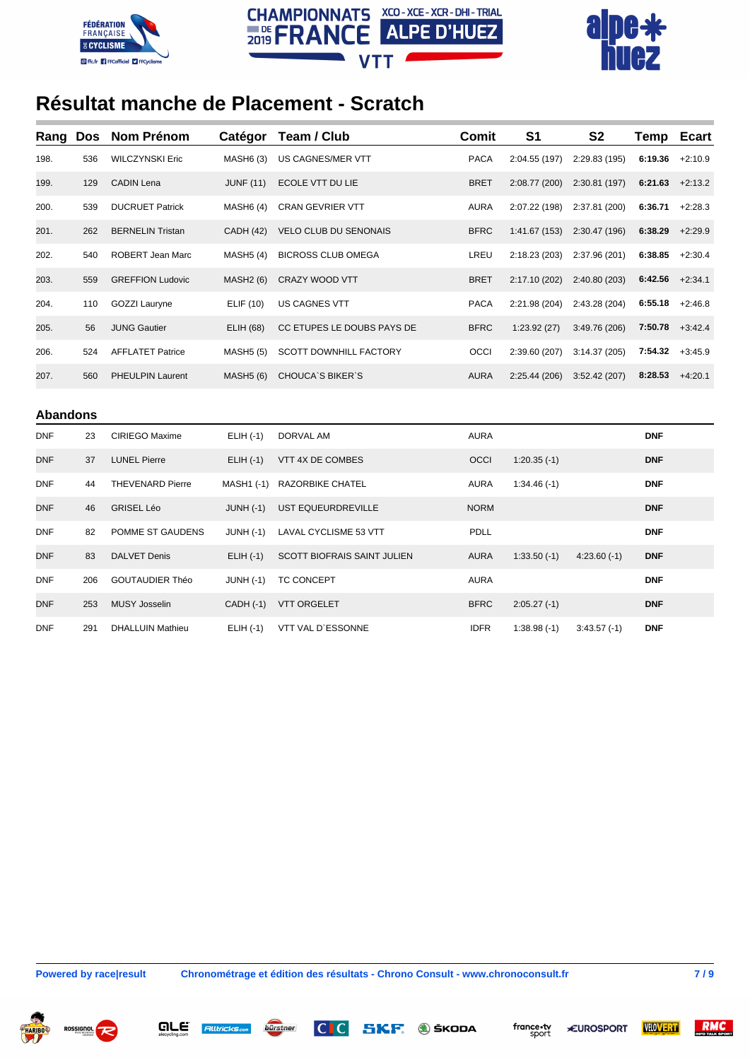





| Rang            | <b>Dos</b> | <b>Nom Prénom</b>       | Catégor          | Team / Club                  | <b>Comit</b> | S <sub>1</sub> | <b>S2</b>     | Temp       | <b>Ecart</b> |
|-----------------|------------|-------------------------|------------------|------------------------------|--------------|----------------|---------------|------------|--------------|
| 198.            | 536        | <b>WILCZYNSKI Eric</b>  | <b>MASH6 (3)</b> | US CAGNES/MER VTT            | <b>PACA</b>  | 2:04.55 (197)  | 2:29.83 (195) | 6:19.36    | $+2:10.9$    |
| 199.            | 129        | <b>CADIN Lena</b>       | <b>JUNF (11)</b> | ECOLE VTT DU LIE             | <b>BRET</b>  | 2:08.77 (200)  | 2:30.81 (197) | 6:21.63    | $+2:13.2$    |
| 200.            | 539        | <b>DUCRUET Patrick</b>  | <b>MASH6 (4)</b> | <b>CRAN GEVRIER VTT</b>      | <b>AURA</b>  | 2:07.22 (198)  | 2:37.81 (200) | 6:36.71    | $+2:28.3$    |
| 201.            | 262        | <b>BERNELIN Tristan</b> | <b>CADH (42)</b> | <b>VELO CLUB DU SENONAIS</b> | <b>BFRC</b>  | 1:41.67(153)   | 2:30.47 (196) | 6:38.29    | $+2:29.9$    |
| 202.            | 540        | ROBERT Jean Marc        | <b>MASH5 (4)</b> | <b>BICROSS CLUB OMEGA</b>    | LREU         | 2:18.23 (203)  | 2:37.96 (201) | 6:38.85    | $+2:30.4$    |
| 203.            | 559        | <b>GREFFION Ludovic</b> | <b>MASH2 (6)</b> | CRAZY WOOD VTT               | <b>BRET</b>  | 2:17.10 (202)  | 2:40.80 (203) | 6:42.56    | $+2:34.1$    |
| 204.            | 110        | <b>GOZZI Lauryne</b>    | ELIF (10)        | US CAGNES VTT                | <b>PACA</b>  | 2:21.98 (204)  | 2:43.28 (204) | 6:55.18    | $+2:46.8$    |
| 205.            | 56         | <b>JUNG Gautier</b>     | <b>ELIH (68)</b> | CC ETUPES LE DOUBS PAYS DE   | <b>BFRC</b>  | 1:23.92 (27)   | 3:49.76 (206) | 7:50.78    | $+3:42.4$    |
| 206.            | 524        | <b>AFFLATET Patrice</b> | <b>MASH5 (5)</b> | SCOTT DOWNHILL FACTORY       | OCCI         | 2:39.60 (207)  | 3:14.37 (205) | 7:54.32    | $+3:45.9$    |
| 207.            | 560        | PHEULPIN Laurent        | <b>MASH5 (6)</b> | <b>CHOUCA'S BIKER'S</b>      | <b>AURA</b>  | 2:25.44(206)   | 3:52.42(207)  | 8:28.53    | $+4:20.1$    |
| <b>Abandons</b> |            |                         |                  |                              |              |                |               |            |              |
| <b>DNF</b>      | 23         | CIRIEGO Maxime          | $ELIH (-1)$      | DORVAL AM                    | <b>AURA</b>  |                |               | <b>DNF</b> |              |
| <b>DNF</b>      | 37         | <b>LUNEL Pierre</b>     | $ELIH (-1)$      | VTT 4X DE COMBES             | OCCI         | $1:20.35(-1)$  |               | <b>DNF</b> |              |
| DNF             | 44         | <b>THEVENARD Pierre</b> | MASH1 (-1)       | RAZORBIKE CHATEL             | <b>AURA</b>  | $1:34.46(-1)$  |               | <b>DNF</b> |              |
| DNF             | 46         | <b>GRISEL Léo</b>       | <b>JUNH (-1)</b> | UST EQUEURDREVILLE           | <b>NORM</b>  |                |               | <b>DNF</b> |              |
| <b>DNF</b>      | 82         | POMME ST GAUDENS        | <b>JUNH (-1)</b> | LAVAL CYCLISME 53 VTT        | <b>PDLL</b>  |                |               | <b>DNF</b> |              |
| DNF             | 83         | <b>DALVET Denis</b>     | $ELIH (-1)$      | SCOTT BIOFRAIS SAINT JULIEN  | <b>AURA</b>  | $1:33.50(-1)$  | $4:23.60(-1)$ | <b>DNF</b> |              |
| DNF             | 206        | <b>GOUTAUDIER Théo</b>  | $JUNH (-1)$      | TC CONCEPT                   | <b>AURA</b>  |                |               | <b>DNF</b> |              |
| <b>DNF</b>      | 253        | <b>MUSY Josselin</b>    | CADH (-1)        | <b>VTT ORGELET</b>           | <b>BFRC</b>  | $2:05.27(-1)$  |               | <b>DNF</b> |              |
| DNF             | 291        | DHALLUIN Mathieu        | $ELIH (-1)$      | VTT VAL D'ESSONNE            | <b>IDFR</b>  | $1:38.98(+1)$  | $3:43.57(-1)$ | <b>DNF</b> |              |

are

**Alltricks.com** 

bürstner

**Powered by race|result Chronométrage et édition des résultats - Chrono Consult - www.chronoconsult.fr 7 / 9**

 $|C|C|$ 



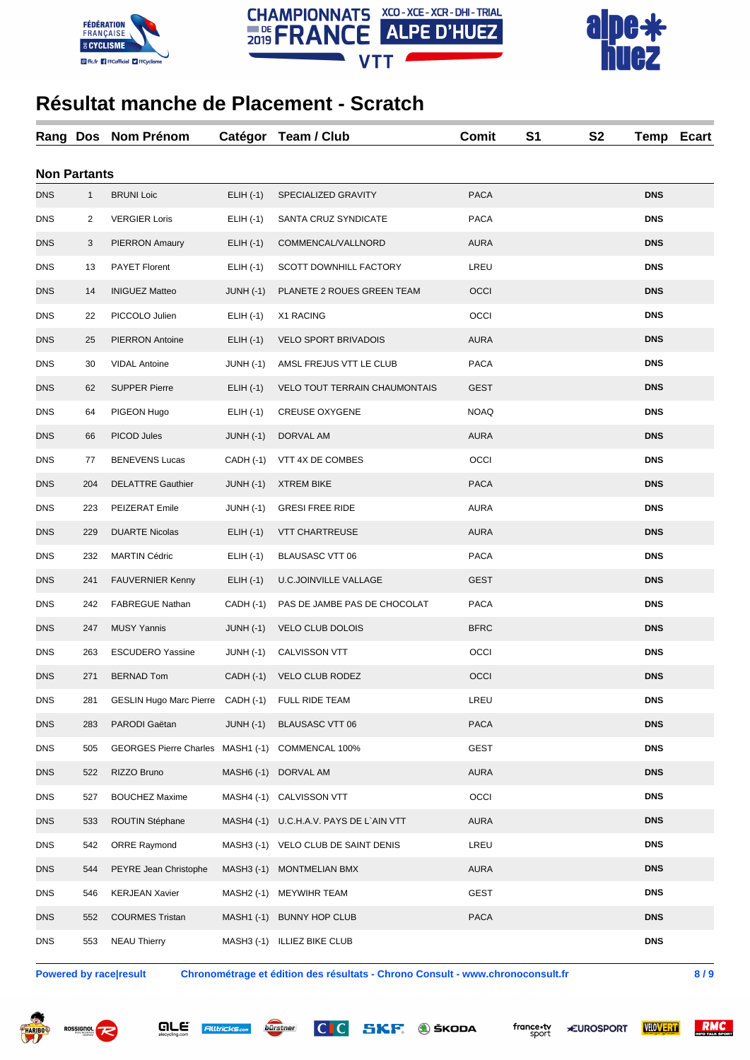





| Rang Dos   |                     | Nom Prénom                        | Catégor          | Team / Club                             | Comit       | S1 | <b>S2</b> | Temp       | <b>Ecart</b> |
|------------|---------------------|-----------------------------------|------------------|-----------------------------------------|-------------|----|-----------|------------|--------------|
|            | <b>Non Partants</b> |                                   |                  |                                         |             |    |           |            |              |
| <b>DNS</b> | $\mathbf{1}$        | <b>BRUNI Loic</b>                 | $ELIH (-1)$      | SPECIALIZED GRAVITY                     | <b>PACA</b> |    |           | <b>DNS</b> |              |
| <b>DNS</b> | 2                   | <b>VERGIER Loris</b>              | $ELIH (-1)$      | SANTA CRUZ SYNDICATE                    | <b>PACA</b> |    |           | <b>DNS</b> |              |
| DNS        | 3                   | <b>PIERRON Amaury</b>             | $ELIH (-1)$      | COMMENCAL/VALLNORD                      | <b>AURA</b> |    |           | <b>DNS</b> |              |
| <b>DNS</b> | 13                  | <b>PAYET Florent</b>              | $ELIH (-1)$      | SCOTT DOWNHILL FACTORY                  | LREU        |    |           | <b>DNS</b> |              |
| <b>DNS</b> | 14                  | <b>INIGUEZ Matteo</b>             | $JUNH (-1)$      | PLANETE 2 ROUES GREEN TEAM              | OCCI        |    |           | <b>DNS</b> |              |
| DNS        | 22                  | PICCOLO Julien                    | $ELIH (-1)$      | X1 RACING                               | OCCI        |    |           | <b>DNS</b> |              |
| <b>DNS</b> | 25                  | <b>PIERRON Antoine</b>            | $ELIH (-1)$      | <b>VELO SPORT BRIVADOIS</b>             | <b>AURA</b> |    |           | <b>DNS</b> |              |
| <b>DNS</b> | 30                  | <b>VIDAL Antoine</b>              | $JUNH (-1)$      | AMSL FREJUS VTT LE CLUB                 | <b>PACA</b> |    |           | <b>DNS</b> |              |
| <b>DNS</b> | 62                  | <b>SUPPER Pierre</b>              | $ELIH (-1)$      | <b>VELO TOUT TERRAIN CHAUMONTAIS</b>    | <b>GEST</b> |    |           | <b>DNS</b> |              |
| DNS        | 64                  | PIGEON Hugo                       | $ELIH (-1)$      | <b>CREUSE OXYGENE</b>                   | <b>NOAQ</b> |    |           | <b>DNS</b> |              |
| DNS        | 66                  | PICOD Jules                       | $JUNH (-1)$      | DORVAL AM                               | <b>AURA</b> |    |           | <b>DNS</b> |              |
| <b>DNS</b> | 77                  | <b>BENEVENS Lucas</b>             | CADH (-1)        | VTT 4X DE COMBES                        | OCCI        |    |           | <b>DNS</b> |              |
| <b>DNS</b> | 204                 | <b>DELATTRE Gauthier</b>          | $JUNH (-1)$      | <b>XTREM BIKE</b>                       | <b>PACA</b> |    |           | <b>DNS</b> |              |
| DNS        | 223                 | PEIZERAT Emile                    | <b>JUNH (-1)</b> | <b>GRESI FREE RIDE</b>                  | AURA        |    |           | <b>DNS</b> |              |
| <b>DNS</b> | 229                 | <b>DUARTE Nicolas</b>             | $ELIH (-1)$      | <b>VTT CHARTREUSE</b>                   | <b>AURA</b> |    |           | <b>DNS</b> |              |
| <b>DNS</b> | 232                 | <b>MARTIN Cédric</b>              | $ELIH (-1)$      | <b>BLAUSASC VTT 06</b>                  | <b>PACA</b> |    |           | <b>DNS</b> |              |
| <b>DNS</b> | 241                 | <b>FAUVERNIER Kenny</b>           | $ELIH (-1)$      | <b>U.C.JOINVILLE VALLAGE</b>            | <b>GEST</b> |    |           | <b>DNS</b> |              |
| <b>DNS</b> | 242                 | <b>FABREGUE Nathan</b>            | CADH (-1)        | PAS DE JAMBE PAS DE CHOCOLAT            | <b>PACA</b> |    |           | <b>DNS</b> |              |
| DNS        | 247                 | <b>MUSY Yannis</b>                | $JUNH (-1)$      | <b>VELO CLUB DOLOIS</b>                 | <b>BFRC</b> |    |           | <b>DNS</b> |              |
| DNS        | 263                 | <b>ESCUDERO Yassine</b>           | <b>JUNH (-1)</b> | CALVISSON VTT                           | OCCI        |    |           | <b>DNS</b> |              |
| DNS        | 271                 | <b>BERNAD Tom</b>                 | $CADH (-1)$      | VELO CLUB RODEZ                         | OCCI        |    |           | <b>DNS</b> |              |
| DNS        | 281                 | GESLIN Hugo Marc Pierre CADH (-1) |                  | FULL RIDE TEAM                          | LREU        |    |           | <b>DNS</b> |              |
| <b>DNS</b> | 283                 | PARODI Gaëtan                     | $JUNH (-1)$      | BLAUSASC VTT 06                         | PACA        |    |           | <b>DNS</b> |              |
| <b>DNS</b> | 505                 | <b>GEORGES Pierre Charles</b>     | MASH1 (-1)       | COMMENCAL 100%                          | <b>GEST</b> |    |           | <b>DNS</b> |              |
| <b>DNS</b> | 522                 | RIZZO Bruno                       | MASH6 (-1)       | DORVAL AM                               | <b>AURA</b> |    |           | <b>DNS</b> |              |
| DNS        | 527                 | <b>BOUCHEZ Maxime</b>             | MASH4 (-1)       | <b>CALVISSON VTT</b>                    | OCCI        |    |           | <b>DNS</b> |              |
| DNS        | 533                 | ROUTIN Stéphane                   |                  | MASH4 (-1) U.C.H.A.V. PAYS DE L`AIN VTT | <b>AURA</b> |    |           | <b>DNS</b> |              |
| <b>DNS</b> | 542                 | <b>ORRE Raymond</b>               |                  | MASH3 (-1) VELO CLUB DE SAINT DENIS     | LREU        |    |           | <b>DNS</b> |              |
| <b>DNS</b> | 544                 | PEYRE Jean Christophe             | $MASH3(-1)$      | <b>MONTMELIAN BMX</b>                   | <b>AURA</b> |    |           | <b>DNS</b> |              |
| DNS        | 546                 | <b>KERJEAN Xavier</b>             | MASH2 (-1)       | <b>MEYWIHR TEAM</b>                     | <b>GEST</b> |    |           | <b>DNS</b> |              |
| DNS        | 552                 | <b>COURMES Tristan</b>            |                  | MASH1 (-1) BUNNY HOP CLUB               | <b>PACA</b> |    |           | <b>DNS</b> |              |
| <b>DNS</b> | 553                 | <b>NEAU Thierry</b>               |                  | MASH3 (-1) ILLIEZ BIKE CLUB             |             |    |           | <b>DNS</b> |              |

**Powered by race|result Chronométrage et édition des résultats - Chrono Consult - www.chronoconsult.fr 8 / 9**